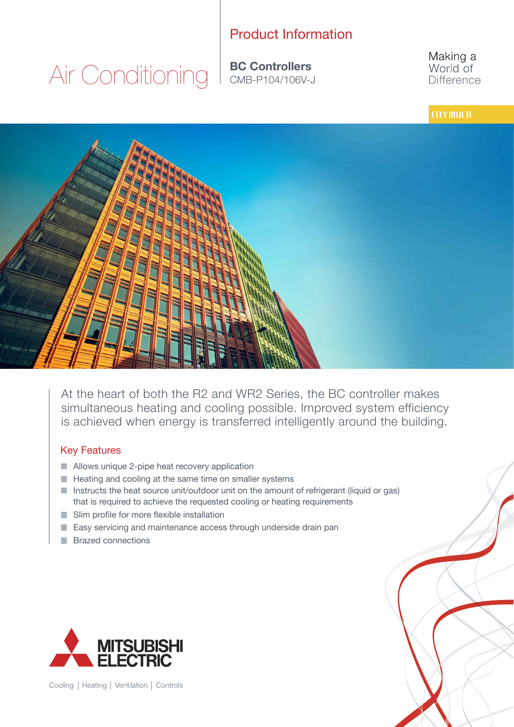# Product Information

Air Conditioning

**BC Controllers**<br>
CMB-P104/106V-J

Making a World of **Difference** 

### **CITY MULTI**



At the heart of both the R2 and WR2 Series, the BC controller makes simultaneous heating and cooling possible. Improved system efficiency is achieved when energy is transferred intelligently around the building.

#### Key Features

- Allows unique 2-pipe heat recovery application
- $\blacksquare$  Heating and cooling at the same time on smaller systems
- Instructs the heat source unit/outdoor unit on the amount of refrigerant (liquid or gas) that is required to achieve the requested cooling or heating requirements
- Slim profile for more flexible installation
- Easy servicing and maintenance access through underside drain pan
- **Brazed connections**



Cooling | Heating | Ventilation | Controls